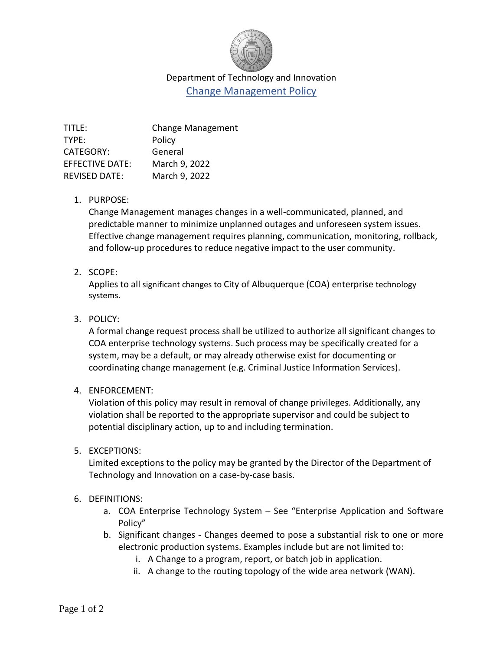

# Department of Technology and Innovation Change Management Policy

| TITLE:                 | <b>Change Management</b> |
|------------------------|--------------------------|
| TYPE:                  | Policy                   |
| <b>CATEGORY:</b>       | General                  |
| <b>EFFECTIVE DATE:</b> | March 9, 2022            |
| <b>REVISED DATE:</b>   | March 9, 2022            |
|                        |                          |

#### 1. PURPOSE:

Change Management manages changes in a well-communicated, planned, and predictable manner to minimize unplanned outages and unforeseen system issues. Effective change management requires planning, communication, monitoring, rollback, and follow-up procedures to reduce negative impact to the user community.

## 2. SCOPE:

Applies to all significant changes to City of Albuquerque (COA) enterprise technology systems.

# 3. POLICY:

A formal change request process shall be utilized to authorize all significant changes to COA enterprise technology systems. Such process may be specifically created for a system, may be a default, or may already otherwise exist for documenting or coordinating change management (e.g. Criminal Justice Information Services).

## 4. ENFORCEMENT:

Violation of this policy may result in removal of change privileges. Additionally, any violation shall be reported to the appropriate supervisor and could be subject to potential disciplinary action, up to and including termination.

## 5. EXCEPTIONS:

Limited exceptions to the policy may be granted by the Director of the Department of Technology and Innovation on a case-by-case basis.

## 6. DEFINITIONS:

- a. COA Enterprise Technology System See "Enterprise Application and Software Policy"
- b. Significant changes Changes deemed to pose a substantial risk to one or more electronic production systems. Examples include but are not limited to:
	- i. A Change to a program, report, or batch job in application.
	- ii. A change to the routing topology of the wide area network (WAN).